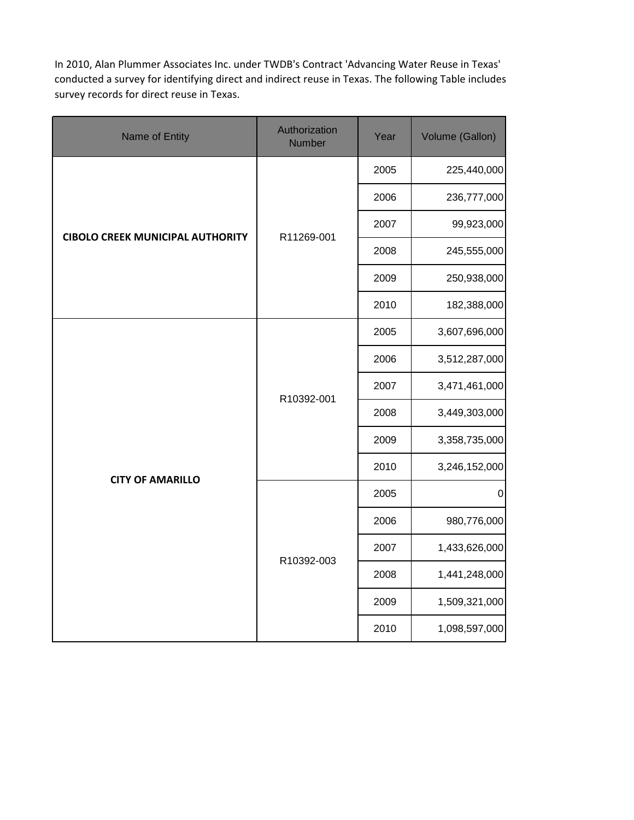In 2010, Alan Plummer Associates Inc. under TWDB's Contract 'Advancing Water Reuse in Texas' conducted a survey for identifying direct and indirect reuse in Texas. The following Table includes survey records for direct reuse in Texas.

| Name of Entity                          | Authorization<br>Number | Year | Volume (Gallon)  |
|-----------------------------------------|-------------------------|------|------------------|
|                                         |                         | 2005 | 225,440,000      |
|                                         |                         | 2006 | 236,777,000      |
| <b>CIBOLO CREEK MUNICIPAL AUTHORITY</b> | R11269-001              | 2007 | 99,923,000       |
|                                         |                         | 2008 | 245,555,000      |
|                                         |                         | 2009 | 250,938,000      |
|                                         |                         | 2010 | 182,388,000      |
|                                         |                         | 2005 | 3,607,696,000    |
|                                         | R10392-001              | 2006 | 3,512,287,000    |
|                                         |                         | 2007 | 3,471,461,000    |
|                                         |                         | 2008 | 3,449,303,000    |
|                                         |                         | 2009 | 3,358,735,000    |
| <b>CITY OF AMARILLO</b>                 |                         | 2010 | 3,246,152,000    |
|                                         |                         | 2005 | $\boldsymbol{0}$ |
|                                         |                         | 2006 | 980,776,000      |
|                                         | R10392-003              | 2007 | 1,433,626,000    |
|                                         |                         | 2008 | 1,441,248,000    |
|                                         |                         | 2009 | 1,509,321,000    |
|                                         |                         | 2010 | 1,098,597,000    |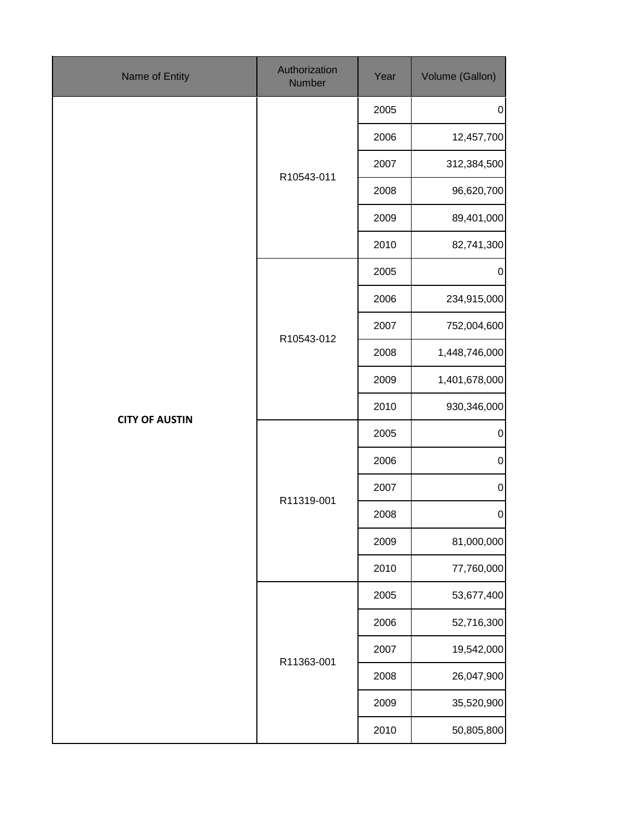| Name of Entity        | Authorization<br>Number | Year | Volume (Gallon) |
|-----------------------|-------------------------|------|-----------------|
|                       |                         | 2005 | $\pmb{0}$       |
|                       |                         | 2006 | 12,457,700      |
|                       | R10543-011              | 2007 | 312,384,500     |
|                       |                         | 2008 | 96,620,700      |
|                       |                         | 2009 | 89,401,000      |
|                       |                         | 2010 | 82,741,300      |
|                       |                         | 2005 | $\pmb{0}$       |
|                       |                         | 2006 | 234,915,000     |
|                       | R10543-012              | 2007 | 752,004,600     |
|                       |                         | 2008 | 1,448,746,000   |
|                       |                         | 2009 | 1,401,678,000   |
| <b>CITY OF AUSTIN</b> |                         | 2010 | 930,346,000     |
|                       | R11319-001              | 2005 | $\pmb{0}$       |
|                       |                         | 2006 | $\pmb{0}$       |
|                       |                         | 2007 | $\pmb{0}$       |
|                       |                         | 2008 | $\overline{0}$  |
|                       |                         | 2009 | 81,000,000      |
|                       |                         | 2010 | 77,760,000      |
|                       |                         | 2005 | 53,677,400      |
|                       |                         | 2006 | 52,716,300      |
|                       |                         | 2007 | 19,542,000      |
|                       | R11363-001              | 2008 | 26,047,900      |
|                       |                         | 2009 | 35,520,900      |
|                       |                         | 2010 | 50,805,800      |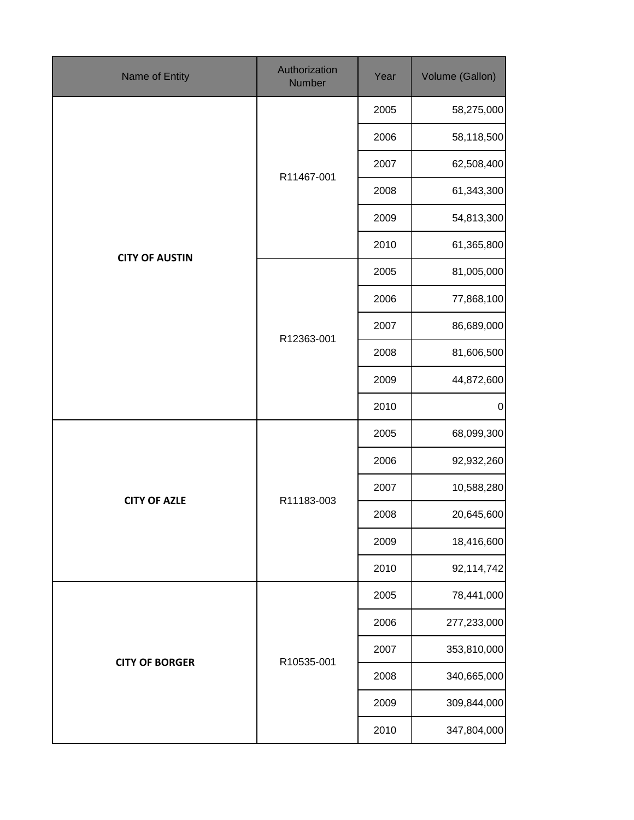| <b>Name of Entity</b> | Authorization<br>Number | Year | Volume (Gallon) |
|-----------------------|-------------------------|------|-----------------|
|                       |                         | 2005 | 58,275,000      |
|                       |                         | 2006 | 58,118,500      |
|                       | R11467-001              | 2007 | 62,508,400      |
|                       |                         | 2008 | 61,343,300      |
|                       |                         | 2009 | 54,813,300      |
| <b>CITY OF AUSTIN</b> |                         | 2010 | 61,365,800      |
|                       |                         | 2005 | 81,005,000      |
|                       |                         | 2006 | 77,868,100      |
|                       | R12363-001              | 2007 | 86,689,000      |
|                       |                         | 2008 | 81,606,500      |
|                       |                         | 2009 | 44,872,600      |
|                       |                         | 2010 | $\pmb{0}$       |
|                       |                         | 2005 | 68,099,300      |
|                       |                         | 2006 | 92,932,260      |
| <b>CITY OF AZLE</b>   |                         | 2007 | 10,588,280      |
|                       | R11183-003              | 2008 | 20,645,600      |
|                       |                         | 2009 | 18,416,600      |
|                       |                         | 2010 | 92,114,742      |
|                       |                         | 2005 | 78,441,000      |
|                       |                         | 2006 | 277,233,000     |
|                       |                         | 2007 | 353,810,000     |
| <b>CITY OF BORGER</b> | R10535-001              | 2008 | 340,665,000     |
|                       |                         | 2009 | 309,844,000     |
|                       |                         | 2010 | 347,804,000     |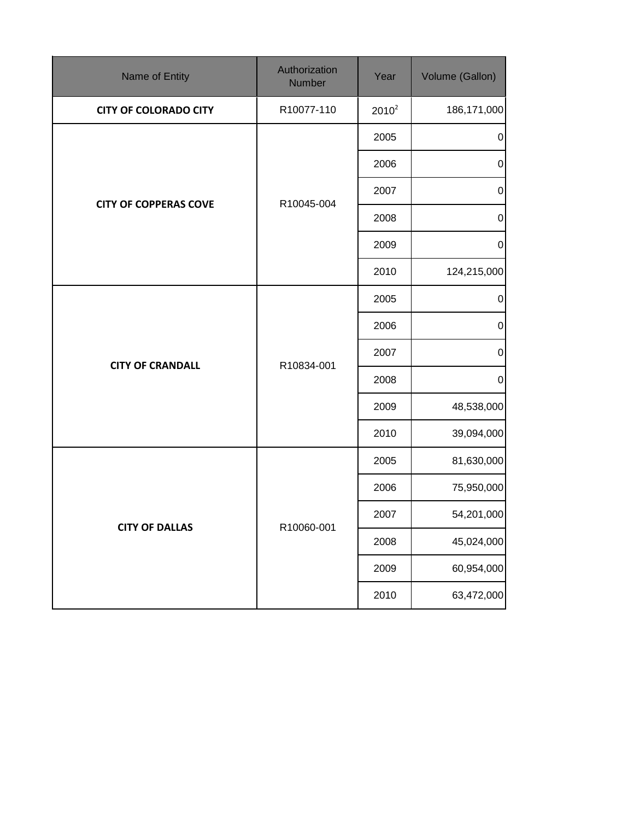| Name of Entity               | Authorization<br>Number | Year     | Volume (Gallon)  |
|------------------------------|-------------------------|----------|------------------|
| <b>CITY OF COLORADO CITY</b> | R10077-110              | $2010^2$ | 186, 171, 000    |
|                              |                         | 2005     | $\pmb{0}$        |
|                              |                         | 2006     | $\mathbf 0$      |
| <b>CITY OF COPPERAS COVE</b> | R10045-004              | 2007     | $\pmb{0}$        |
|                              |                         | 2008     | $\pmb{0}$        |
|                              |                         | 2009     | $\boldsymbol{0}$ |
|                              |                         | 2010     | 124,215,000      |
|                              |                         | 2005     | $\pmb{0}$        |
|                              | R10834-001              | 2006     | $\pmb{0}$        |
|                              |                         | 2007     | $\pmb{0}$        |
| <b>CITY OF CRANDALL</b>      |                         | 2008     | $\pmb{0}$        |
|                              |                         | 2009     | 48,538,000       |
|                              |                         | 2010     | 39,094,000       |
|                              |                         | 2005     | 81,630,000       |
|                              |                         | 2006     | 75,950,000       |
| <b>CITY OF DALLAS</b>        | R10060-001              | 2007     | 54,201,000       |
|                              |                         | 2008     | 45,024,000       |
|                              |                         | 2009     | 60,954,000       |
|                              |                         | 2010     | 63,472,000       |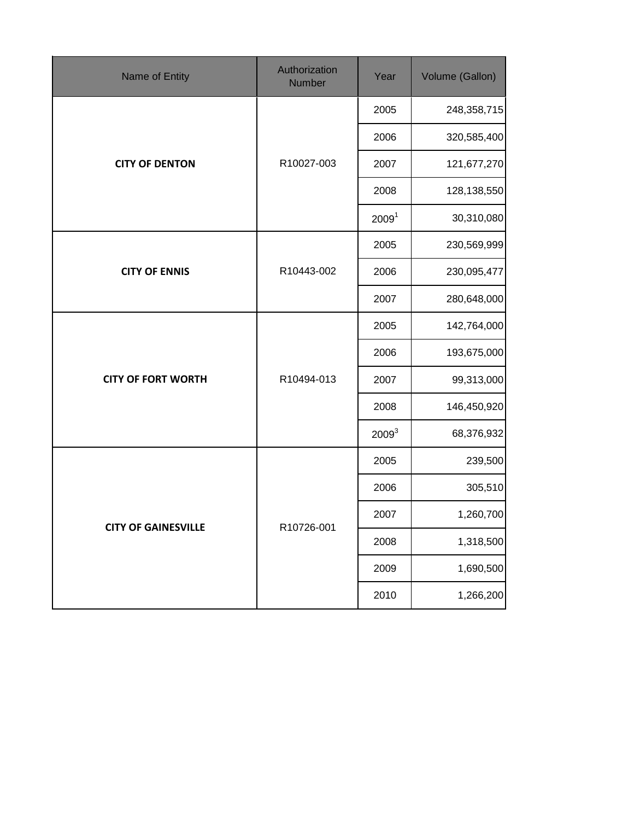| Name of Entity             | Authorization<br>Number | Year              | Volume (Gallon) |
|----------------------------|-------------------------|-------------------|-----------------|
|                            |                         | 2005              | 248,358,715     |
|                            |                         | 2006              | 320,585,400     |
| <b>CITY OF DENTON</b>      | R10027-003              | 2007              | 121,677,270     |
|                            |                         | 2008              | 128,138,550     |
|                            |                         | 2009 <sup>1</sup> | 30,310,080      |
|                            |                         | 2005              | 230,569,999     |
| <b>CITY OF ENNIS</b>       | R10443-002              | 2006              | 230,095,477     |
|                            |                         | 2007              | 280,648,000     |
|                            | R10494-013              | 2005              | 142,764,000     |
|                            |                         | 2006              | 193,675,000     |
| <b>CITY OF FORT WORTH</b>  |                         | 2007              | 99,313,000      |
|                            |                         | 2008              | 146,450,920     |
|                            |                         | 2009 <sup>3</sup> | 68,376,932      |
|                            |                         | 2005              | 239,500         |
|                            |                         | 2006              | 305,510         |
| <b>CITY OF GAINESVILLE</b> |                         | 2007              | 1,260,700       |
|                            | R10726-001              | 2008              | 1,318,500       |
|                            |                         | 2009              | 1,690,500       |
|                            |                         | 2010              | 1,266,200       |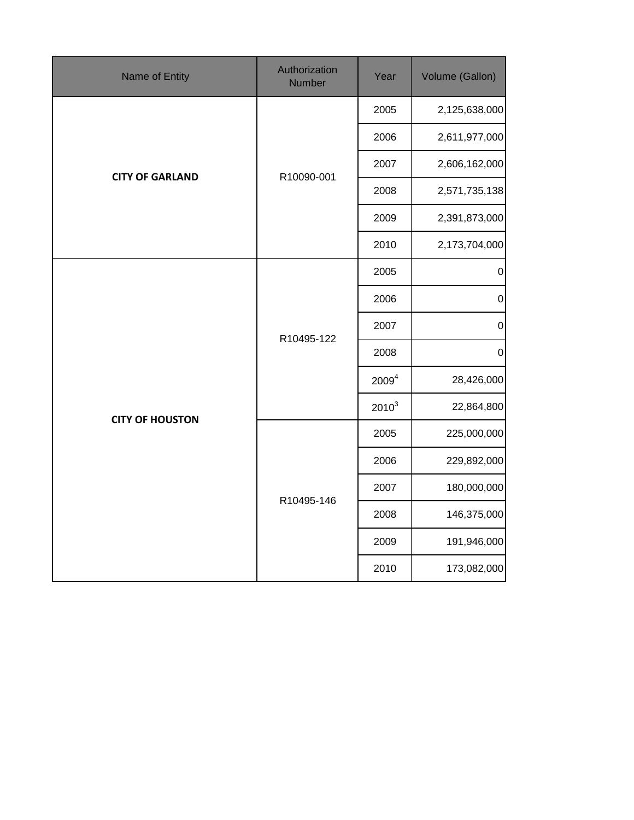| Name of Entity         | Authorization<br>Number | Year              | Volume (Gallon)  |
|------------------------|-------------------------|-------------------|------------------|
|                        |                         | 2005              | 2,125,638,000    |
|                        |                         | 2006              | 2,611,977,000    |
|                        | R10090-001              | 2007              | 2,606,162,000    |
| <b>CITY OF GARLAND</b> |                         | 2008              | 2,571,735,138    |
|                        |                         | 2009              | 2,391,873,000    |
|                        |                         | 2010              | 2,173,704,000    |
|                        |                         | 2005              | $\pmb{0}$        |
|                        | R10495-122              | 2006              | $\pmb{0}$        |
|                        |                         | 2007              | $\mathbf 0$      |
|                        |                         | 2008              | $\boldsymbol{0}$ |
|                        |                         | 2009 <sup>4</sup> | 28,426,000       |
| <b>CITY OF HOUSTON</b> |                         | $2010^3$          | 22,864,800       |
|                        |                         | 2005              | 225,000,000      |
|                        |                         | 2006              | 229,892,000      |
|                        | R10495-146              | 2007              | 180,000,000      |
|                        |                         | 2008              | 146,375,000      |
|                        |                         | 2009              | 191,946,000      |
|                        |                         | 2010              | 173,082,000      |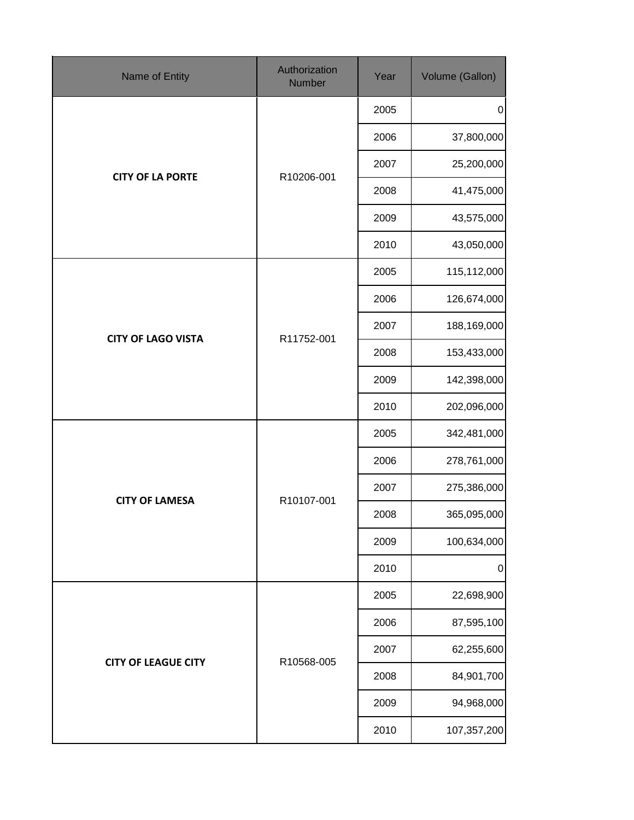| Name of Entity             | Authorization<br>Number | Year | Volume (Gallon) |
|----------------------------|-------------------------|------|-----------------|
|                            |                         | 2005 | $\pmb{0}$       |
|                            |                         | 2006 | 37,800,000      |
| <b>CITY OF LA PORTE</b>    | R10206-001              | 2007 | 25,200,000      |
|                            |                         | 2008 | 41,475,000      |
|                            |                         | 2009 | 43,575,000      |
|                            |                         | 2010 | 43,050,000      |
|                            |                         | 2005 | 115,112,000     |
|                            |                         | 2006 | 126,674,000     |
| <b>CITY OF LAGO VISTA</b>  | R11752-001              | 2007 | 188,169,000     |
|                            |                         | 2008 | 153,433,000     |
|                            |                         | 2009 | 142,398,000     |
|                            |                         | 2010 | 202,096,000     |
|                            | R10107-001              | 2005 | 342,481,000     |
|                            |                         | 2006 | 278,761,000     |
| <b>CITY OF LAMESA</b>      |                         | 2007 | 275,386,000     |
|                            |                         | 2008 | 365,095,000     |
|                            |                         | 2009 | 100,634,000     |
|                            |                         | 2010 | $\pmb{0}$       |
|                            |                         | 2005 | 22,698,900      |
|                            |                         | 2006 | 87,595,100      |
| <b>CITY OF LEAGUE CITY</b> | R10568-005              | 2007 | 62,255,600      |
|                            |                         | 2008 | 84,901,700      |
|                            |                         | 2009 | 94,968,000      |
|                            |                         | 2010 | 107,357,200     |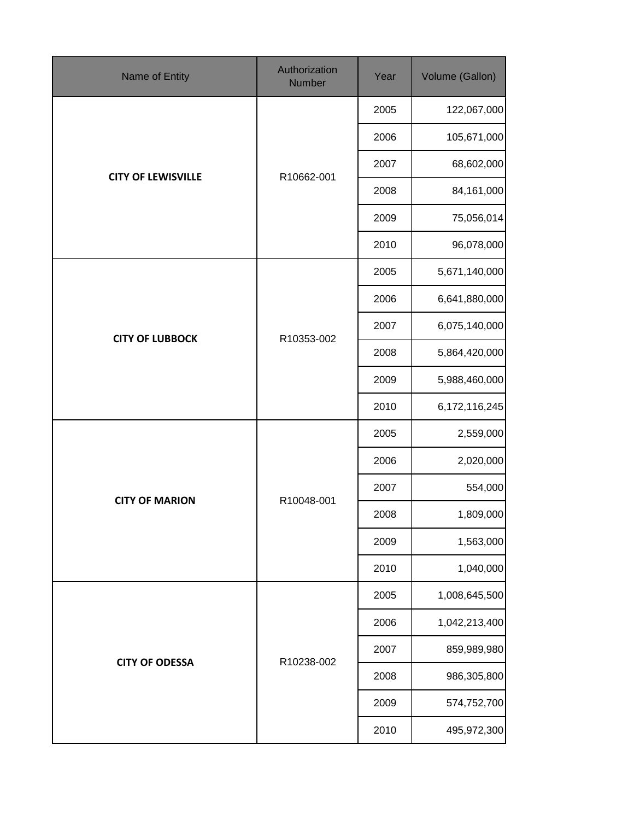| Name of Entity            | Authorization<br>Number | Year | Volume (Gallon) |
|---------------------------|-------------------------|------|-----------------|
|                           |                         | 2005 | 122,067,000     |
|                           |                         | 2006 | 105,671,000     |
|                           | R10662-001              | 2007 | 68,602,000      |
| <b>CITY OF LEWISVILLE</b> |                         | 2008 | 84,161,000      |
|                           |                         | 2009 | 75,056,014      |
|                           |                         | 2010 | 96,078,000      |
|                           |                         | 2005 | 5,671,140,000   |
|                           |                         | 2006 | 6,641,880,000   |
|                           | R10353-002              | 2007 | 6,075,140,000   |
| <b>CITY OF LUBBOCK</b>    |                         | 2008 | 5,864,420,000   |
|                           |                         | 2009 | 5,988,460,000   |
|                           |                         | 2010 | 6,172,116,245   |
|                           |                         | 2005 | 2,559,000       |
|                           |                         | 2006 | 2,020,000       |
| <b>CITY OF MARION</b>     |                         | 2007 | 554,000         |
|                           | R10048-001              | 2008 | 1,809,000       |
|                           |                         | 2009 | 1,563,000       |
|                           |                         | 2010 | 1,040,000       |
|                           |                         | 2005 | 1,008,645,500   |
|                           |                         | 2006 | 1,042,213,400   |
| <b>CITY OF ODESSA</b>     | R10238-002              | 2007 | 859,989,980     |
|                           |                         | 2008 | 986,305,800     |
|                           |                         | 2009 | 574,752,700     |
|                           |                         | 2010 | 495,972,300     |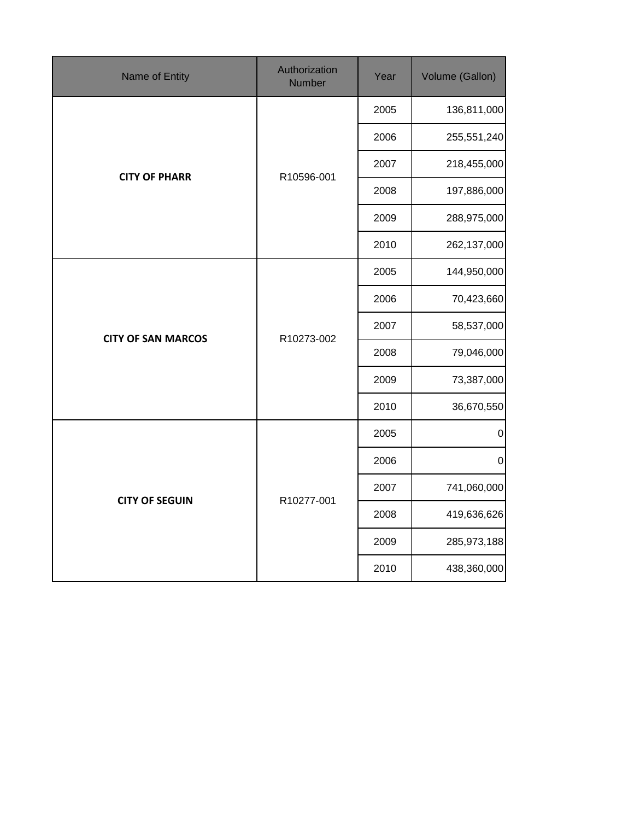| Name of Entity            | Authorization<br><b>Number</b> | Year | Volume (Gallon) |
|---------------------------|--------------------------------|------|-----------------|
|                           |                                | 2005 | 136,811,000     |
|                           |                                | 2006 | 255,551,240     |
| <b>CITY OF PHARR</b>      | R10596-001                     | 2007 | 218,455,000     |
|                           |                                | 2008 | 197,886,000     |
|                           |                                | 2009 | 288,975,000     |
|                           |                                | 2010 | 262,137,000     |
|                           |                                | 2005 | 144,950,000     |
|                           | R10273-002                     | 2006 | 70,423,660      |
| <b>CITY OF SAN MARCOS</b> |                                | 2007 | 58,537,000      |
|                           |                                | 2008 | 79,046,000      |
|                           |                                | 2009 | 73,387,000      |
|                           |                                | 2010 | 36,670,550      |
|                           |                                | 2005 | $\pmb{0}$       |
|                           |                                | 2006 | $\mathbf 0$     |
| <b>CITY OF SEGUIN</b>     | R10277-001                     | 2007 | 741,060,000     |
|                           |                                | 2008 | 419,636,626     |
|                           |                                | 2009 | 285,973,188     |
|                           |                                | 2010 | 438,360,000     |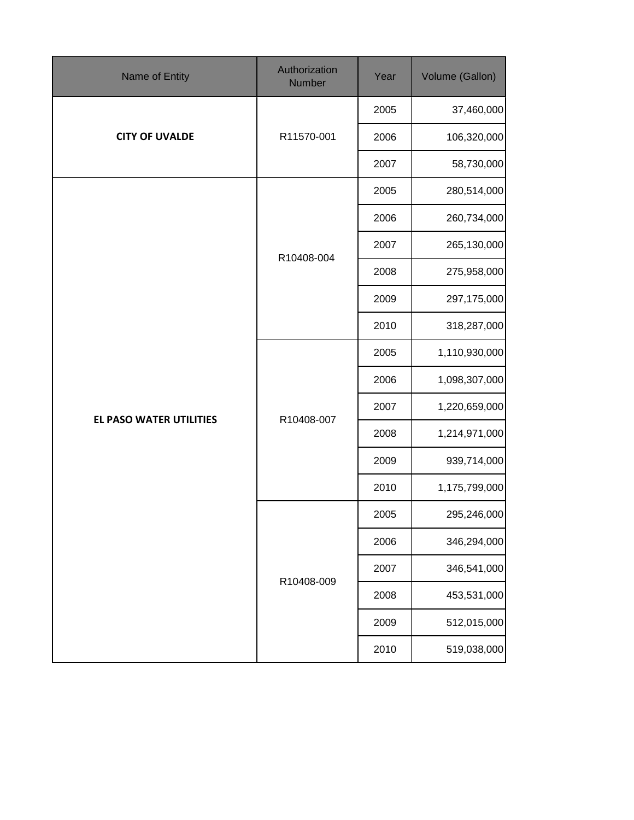| Name of Entity          | Authorization<br>Number | Year | Volume (Gallon) |
|-------------------------|-------------------------|------|-----------------|
|                         |                         | 2005 | 37,460,000      |
| <b>CITY OF UVALDE</b>   | R11570-001              | 2006 | 106,320,000     |
|                         |                         | 2007 | 58,730,000      |
|                         |                         | 2005 | 280,514,000     |
|                         |                         | 2006 | 260,734,000     |
|                         | R10408-004              | 2007 | 265,130,000     |
|                         |                         | 2008 | 275,958,000     |
|                         |                         | 2009 | 297,175,000     |
|                         |                         | 2010 | 318,287,000     |
|                         | R10408-007              | 2005 | 1,110,930,000   |
|                         |                         | 2006 | 1,098,307,000   |
| EL PASO WATER UTILITIES |                         | 2007 | 1,220,659,000   |
|                         |                         | 2008 | 1,214,971,000   |
|                         |                         | 2009 | 939,714,000     |
|                         |                         | 2010 | 1,175,799,000   |
|                         |                         | 2005 | 295,246,000     |
|                         |                         | 2006 | 346,294,000     |
|                         |                         | 2007 | 346,541,000     |
|                         | R10408-009              | 2008 | 453,531,000     |
|                         |                         | 2009 | 512,015,000     |
|                         |                         | 2010 | 519,038,000     |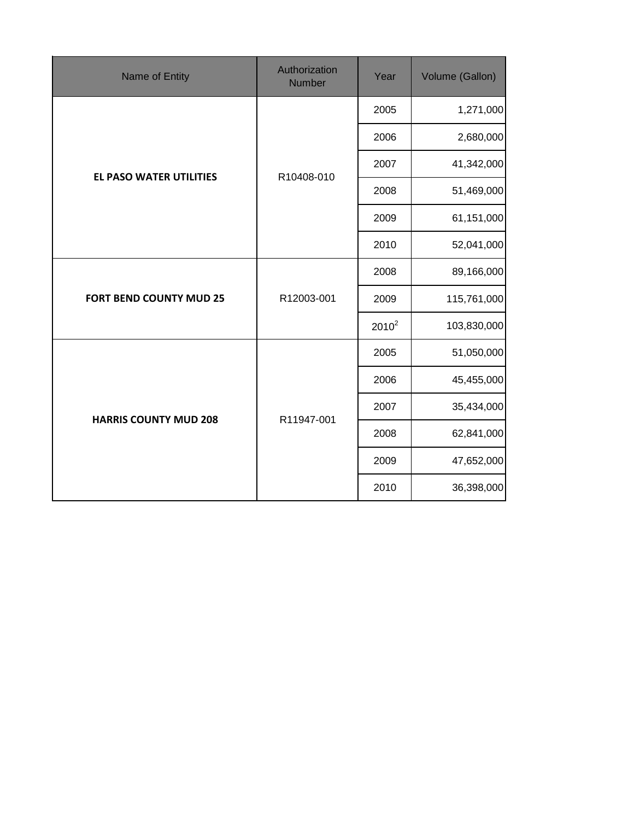| Name of Entity                 | Authorization<br><b>Number</b> | Year     | Volume (Gallon) |
|--------------------------------|--------------------------------|----------|-----------------|
|                                |                                | 2005     | 1,271,000       |
|                                |                                | 2006     | 2,680,000       |
| <b>EL PASO WATER UTILITIES</b> | R10408-010                     | 2007     | 41,342,000      |
|                                |                                | 2008     | 51,469,000      |
|                                |                                | 2009     | 61,151,000      |
|                                |                                | 2010     | 52,041,000      |
|                                | R12003-001                     | 2008     | 89,166,000      |
| <b>FORT BEND COUNTY MUD 25</b> |                                | 2009     | 115,761,000     |
|                                |                                | $2010^2$ | 103,830,000     |
|                                |                                | 2005     | 51,050,000      |
|                                |                                | 2006     | 45,455,000      |
|                                | R11947-001                     | 2007     | 35,434,000      |
| <b>HARRIS COUNTY MUD 208</b>   |                                | 2008     | 62,841,000      |
|                                |                                | 2009     | 47,652,000      |
|                                |                                | 2010     | 36,398,000      |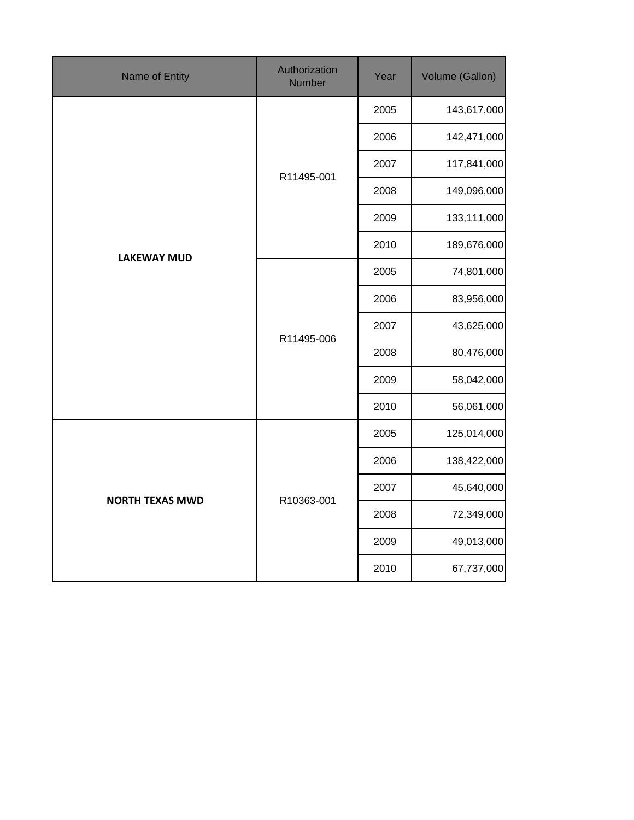| Name of Entity         | Authorization<br><b>Number</b> | Year | Volume (Gallon) |
|------------------------|--------------------------------|------|-----------------|
|                        |                                | 2005 | 143,617,000     |
|                        |                                | 2006 | 142,471,000     |
|                        | R11495-001                     | 2007 | 117,841,000     |
|                        |                                | 2008 | 149,096,000     |
|                        |                                | 2009 | 133,111,000     |
| <b>LAKEWAY MUD</b>     |                                | 2010 | 189,676,000     |
|                        |                                | 2005 | 74,801,000      |
|                        | R11495-006                     | 2006 | 83,956,000      |
|                        |                                | 2007 | 43,625,000      |
|                        |                                | 2008 | 80,476,000      |
|                        |                                | 2009 | 58,042,000      |
|                        |                                | 2010 | 56,061,000      |
|                        |                                | 2005 | 125,014,000     |
|                        |                                | 2006 | 138,422,000     |
| <b>NORTH TEXAS MWD</b> |                                | 2007 | 45,640,000      |
|                        | R10363-001                     | 2008 | 72,349,000      |
|                        |                                | 2009 | 49,013,000      |
|                        |                                | 2010 | 67,737,000      |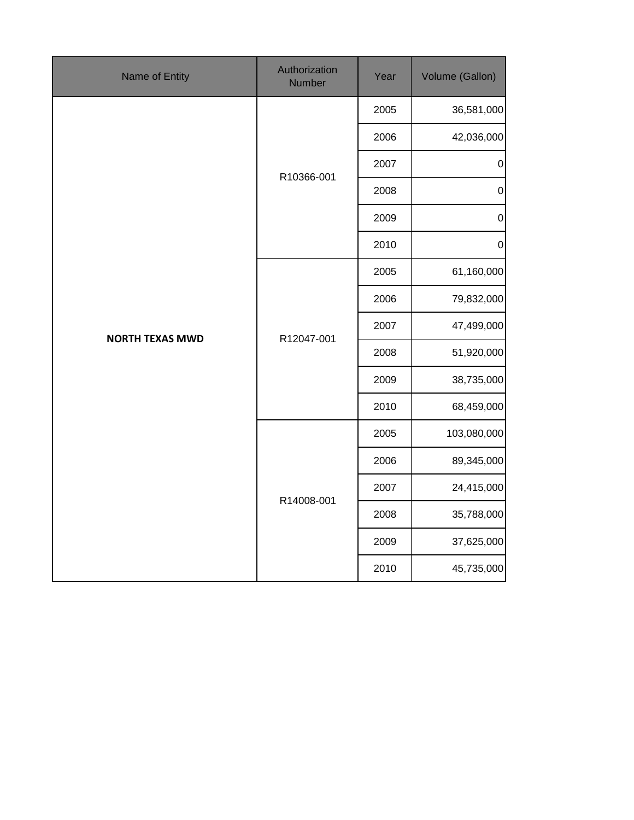| Name of Entity         | Authorization<br><b>Number</b> | Year | Volume (Gallon)  |
|------------------------|--------------------------------|------|------------------|
| <b>NORTH TEXAS MWD</b> | R10366-001                     | 2005 | 36,581,000       |
|                        |                                | 2006 | 42,036,000       |
|                        |                                | 2007 | $\pmb{0}$        |
|                        |                                | 2008 | $\boldsymbol{0}$ |
|                        |                                | 2009 | $\boldsymbol{0}$ |
|                        |                                | 2010 | $\pmb{0}$        |
|                        | R12047-001                     | 2005 | 61,160,000       |
|                        |                                | 2006 | 79,832,000       |
|                        |                                | 2007 | 47,499,000       |
|                        |                                | 2008 | 51,920,000       |
|                        |                                | 2009 | 38,735,000       |
|                        |                                | 2010 | 68,459,000       |
|                        | R14008-001                     | 2005 | 103,080,000      |
|                        |                                | 2006 | 89,345,000       |
|                        |                                | 2007 | 24,415,000       |
|                        |                                | 2008 | 35,788,000       |
|                        |                                | 2009 | 37,625,000       |
|                        |                                | 2010 | 45,735,000       |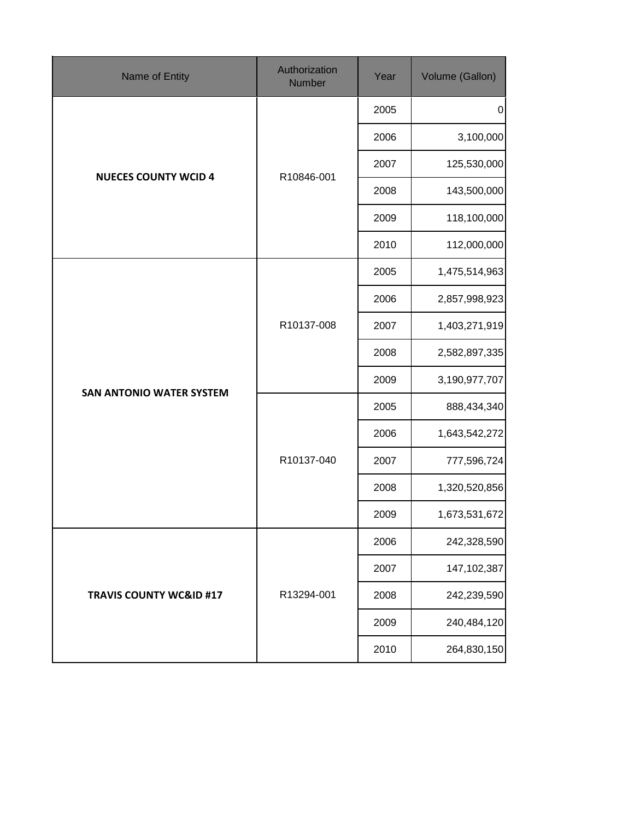| Name of Entity                     | Authorization<br>Number | Year | Volume (Gallon) |
|------------------------------------|-------------------------|------|-----------------|
| <b>NUECES COUNTY WCID 4</b>        | R10846-001              | 2005 | $\pmb{0}$       |
|                                    |                         | 2006 | 3,100,000       |
|                                    |                         | 2007 | 125,530,000     |
|                                    |                         | 2008 | 143,500,000     |
|                                    |                         | 2009 | 118,100,000     |
|                                    |                         | 2010 | 112,000,000     |
| <b>SAN ANTONIO WATER SYSTEM</b>    | R10137-008              | 2005 | 1,475,514,963   |
|                                    |                         | 2006 | 2,857,998,923   |
|                                    |                         | 2007 | 1,403,271,919   |
|                                    |                         | 2008 | 2,582,897,335   |
|                                    |                         | 2009 | 3,190,977,707   |
|                                    | R10137-040              | 2005 | 888,434,340     |
|                                    |                         | 2006 | 1,643,542,272   |
|                                    |                         | 2007 | 777,596,724     |
|                                    |                         | 2008 | 1,320,520,856   |
|                                    |                         | 2009 | 1,673,531,672   |
| <b>TRAVIS COUNTY WC&amp;ID #17</b> | R13294-001              | 2006 | 242,328,590     |
|                                    |                         | 2007 | 147,102,387     |
|                                    |                         | 2008 | 242,239,590     |
|                                    |                         | 2009 | 240,484,120     |
|                                    |                         | 2010 | 264,830,150     |